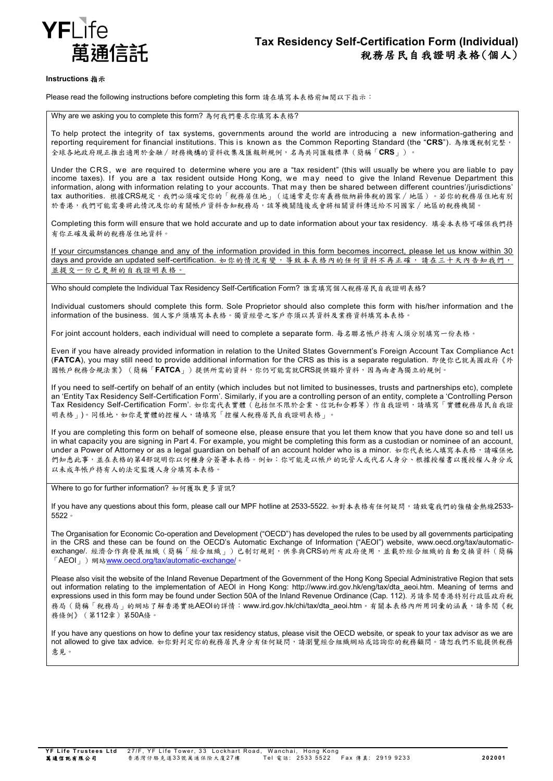

### **Instructions** 指示

Please read the following instructions before completing this form 請在填寫本表格前細閱以下指示:

Why are we asking you to complete this form? 為何我們要求你填寫本表格?

To help protect the integrity of tax systems, governments around the world are introducing a new information-gathering and reporting requirement for financial institutions. This is known as the Common Reporting Standard (the "**CRS**"). 為維護稅制完整, 全球各地政府現正推出適用於金融∕財務機構的資料收集及匯報新規例,名為共同匯報標準(簡稱「**CRS**」)。

Under the CRS, we are required to determine where you are a "tax resident" (this will usually be where you are liable to pay income taxes). If you are a tax resident outside Hong Kong, we may need to give the Inland Revenue Department this information, along with information relating to your accounts. That may then be shared between different countries'/jurisdictions' tax authorities. 根據CRS規定,我們必須確定你的「稅務居住地」(這通常是你有義務繳納薪俸稅的國家∕地區)。若你的稅務居住地有別 於香港,我們可能需要將此情況及你的有關帳戶資料告知稅務局,該等機關隨後或會將相關資料傳送給不同國家/地區的稅務機關。

Completing this form will ensure that we hold accurate and up to date information about your tax residency. 填妥本表格可確保我們持 有你正確及最新的稅務居住地資料。

If your circumstances change and any of the information provided in this form becomes incorrect, please let us know within 30 days and provide an updated self-certification. 如你的情況有變,導致本表格內的任何資料不再正確,請在三十天內告知我們, 並提交一份已更新的自我證明表格。

Who should complete the Individual Tax Residency Self-Certification Form? 誰需填寫個人稅務居民自我證明表格?

Individual customers should complete this form. Sole Proprietor should also complete this form with his/her information and t he information of the business. 個人客戶須填寫本表格。獨資經營之客戶亦須以其資料及業務資料填寫本表格。

For joint account holders, each individual will need to complete a separate form. 每名聯名帳戶持有人須分別填寫一份表格。

Even if you have already provided information in relation to the United States Government's Foreign Account Tax Compliance Ac t (**FATCA**), you may still need to provide additional information for the CRS as this is a separate regulation. 即使你已就美國政府《外 國帳戶稅務合規法案》(簡稱「**FATCA**」)提供所需的資料,你仍可能需就CRS提供額外資料,因為兩者為獨立的規例。

If you need to self-certify on behalf of an entity (which includes but not limited to businesses, trusts and partnerships etc), complete an 'Entity Tax Residency Self-Certification Form'. Similarly, if you are a controlling person of an entity, complete a 'Controlling Person Tax Residency Self-Certification Form'. 如你需代表實體(包括但不限於企業、信託和合夥等)作自我證明,請填寫「實體稅務居民自我證 明表格」)。同樣地,如你是實體的控權人,請填寫「控權人稅務居民自我證明表格」。

If you are completing this form on behalf of someone else, please ensure that you let them know that you have done so and tel l us in what capacity you are signing in Part 4. For example, you might be completing this form as a custodian or nominee of an account, under a Power of Attorney or as a legal guardian on behalf of an account holder who is a minor. 如你代表他人填寫本表格,請確保他 們知悉此事,並在表格的第4部說明你以何種身分簽署本表格。例如:你可能是以帳戶的託管人或代名人身分、根據授權書以獲授權人身分或 以未成年帳戶持有人的法定監護人身分填寫本表格

Where to go for further information? 如何獲取更多資訊?

If you have any questions about this form, please call our MPF hotline at 2533-5522. 如對本表格有任何疑問,請致電我們的強積金熱線2533-5522。

The Organisation for Economic Co-operation and Development ("OECD") has developed the rules to be used by all governments participating in the CRS and these can be found on the OECD's Automatic Exchange of Information ("AEOI") website, www.oecd.org/tax/automaticexchange/. 經濟合作與發展組織(簡稱「經合組織」)已制訂規則,供參與CRS的所有政府使用,並載於經合組織的自動交換資料(簡稱 「AEOI」)網站[www.oecd.org/tax/automatic-exchange/](http://www.oecd.org/tax/automatic-exchange/)。

Please also visit the website of the Inland Revenue Department of the Government of the Hong Kong Special Administrative Region that sets out information relating to the implementation of AEOI in Hong Kong: http://www.ird.gov.hk/eng/tax/dta\_aeoi.htm. Meaning of terms and expressions used in this form may be found under Section 50A of the Inland Revenue Ordinance (Cap. 112). 另請參閱香港特別行政區政府稅 務局(簡稱「稅務局」的網站了解香港實施AEOI的詳情:www.ird.gov.hk/chi/tax/dta\_aeoi.htm。有關本表格內所用詞彙的涵義,請參閱《稅 務條例》(第112章)第50A條。

If you have any questions on how to define your tax residency status, please visit the OECD website, or speak to your tax advisor as we are not allowed to give tax advice. 如你對判定你的稅務居民身分有任何疑問,請瀏覽經合組織網站或諮詢你的稅務顧問。請恕我們不能提供稅務 意見。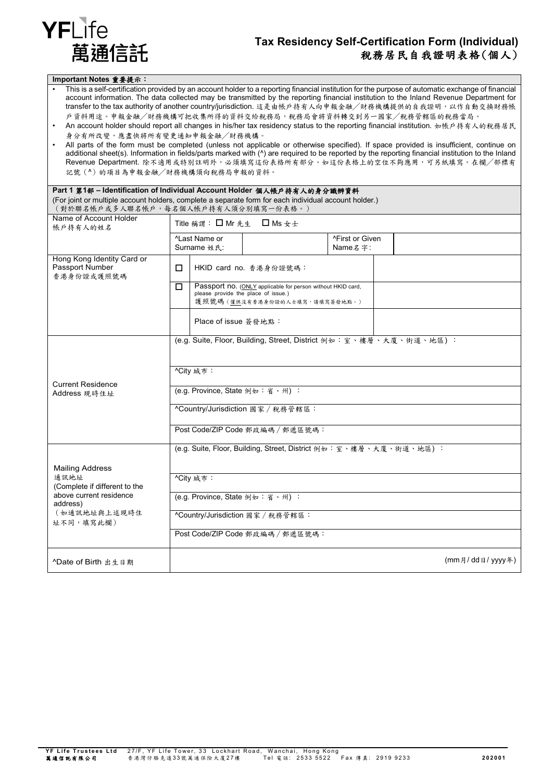

## **Tax Residency Self-Certification Form (Individual)** 稅務居民自我證明表格(個人)

#### **Important Notes** 重要提示:

- This is a self-certification provided by an account holder to a reporting financial institution for the purpose of automatic exchange of financial account information. The data collected may be transmitted by the reporting financial institution to the Inland Revenue Department for transfer to the tax authority of another country/jurisdiction. 這是由帳戶持有人向申報金融╱財務機構提供的自我證明,以作自動交換財務帳 戶資料用途。申報金融╱財務機構可把收集所得的資料交給稅務局,稅務局會將資料轉交到另一國家╱稅務管轄區的稅務當局。
- An account holder should report all changes in his/her tax residency status to the reporting financial institution. 如帳戶持有人的稅務居民 身分有所改變,應盡快將所有變更通知申報金融/財務機構
- All parts of the form must be completed (unless not applicable or otherwise specified). If space provided is insufficient, continue on additional sheet(s). Information in fields/parts marked with (^) are required to be reported by the reporting financial institution to the Inland Revenue Department. 除不適用或特別註明外,必須填寫這份表格所有部分。如這份表格上的空位不夠應用,可另紙填寫。在欄╱部標有 記號(^)的項目為申報金融/財務機構須向稅務局申報的資料。

| Part 1 第1部 - Identification of Individual Account Holder 個人帳戶持有人的身分識辨資料                                                                      |                                                                    |                                                                                                                                      |                            |                 |  |  |
|----------------------------------------------------------------------------------------------------------------------------------------------|--------------------------------------------------------------------|--------------------------------------------------------------------------------------------------------------------------------------|----------------------------|-----------------|--|--|
| (For joint or multiple account holders, complete a separate form for each individual account holder.)<br>(對於聯名帳戶或多人聯名帳戶,每名個人帳戶持有人須分別填寫一份表格。) |                                                                    |                                                                                                                                      |                            |                 |  |  |
| Name of Account Holder<br>帳戶持有人的姓名                                                                                                           | Title 稱謂: □ Mr 先生 □ Ms 女士                                          |                                                                                                                                      |                            |                 |  |  |
|                                                                                                                                              | <sup>^</sup> Last Name or<br>Surname 姓氏:                           |                                                                                                                                      | ^First or Given<br>Name名字: |                 |  |  |
| Hong Kong Identity Card or<br>Passport Number<br>香港身份證或護照號碼                                                                                  | □                                                                  | HKID card no. 香港身份證號碼:                                                                                                               |                            |                 |  |  |
|                                                                                                                                              | $\Box$                                                             | Passport no. (ONLY applicable for person without HKID card,<br>please provide the place of issue.)<br>護照號碼 (僅供沒有香港身份證的人士填寫,請填寫簽發地點。) |                            |                 |  |  |
|                                                                                                                                              | Place of issue 簽發地點:                                               |                                                                                                                                      |                            |                 |  |  |
|                                                                                                                                              | (e.g. Suite, Floor, Building, Street, District 例如: 室、樓層、大廈、街道、地區): |                                                                                                                                      |                            |                 |  |  |
| <b>Current Residence</b>                                                                                                                     | ^City 城市:                                                          |                                                                                                                                      |                            |                 |  |  |
| Address 現時住址                                                                                                                                 | (e.g. Province, State 例如:省、州):                                     |                                                                                                                                      |                            |                 |  |  |
|                                                                                                                                              | ^Country/Jurisdiction 國家 / 稅務管轄區:                                  |                                                                                                                                      |                            |                 |  |  |
|                                                                                                                                              | Post Code/ZIP Code 郵政編碼 / 郵遞區號碼:                                   |                                                                                                                                      |                            |                 |  |  |
| <b>Mailing Address</b>                                                                                                                       | (e.g. Suite, Floor, Building, Street, District 例如:室、樓層、大廈、街道、地區) : |                                                                                                                                      |                            |                 |  |  |
| 通訊地址<br>(Complete if different to the                                                                                                        | ^City 城市:                                                          |                                                                                                                                      |                            |                 |  |  |
| above current residence<br>address)                                                                                                          | (e.g. Province, State 例如:省、州):                                     |                                                                                                                                      |                            |                 |  |  |
| (如通訊地址與上述現時住<br>址不同,填寫此欄)                                                                                                                    | ^Country/Jurisdiction 國家 / 稅務管轄區:                                  |                                                                                                                                      |                            |                 |  |  |
|                                                                                                                                              | Post Code/ZIP Code 郵政編碼 / 郵遞區號碼:                                   |                                                                                                                                      |                            |                 |  |  |
| ^Date of Birth 出生日期                                                                                                                          |                                                                    |                                                                                                                                      |                            | (mm月/dd日/yyyy年) |  |  |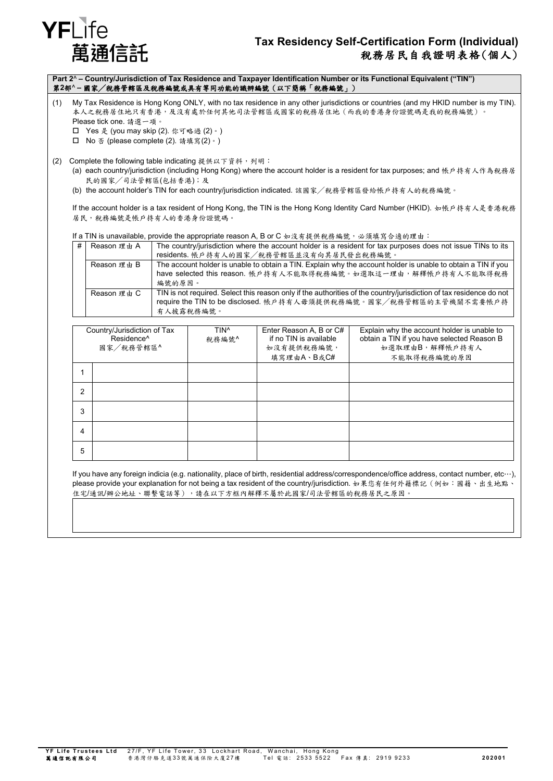# YFLife 萬涌信託

## **Tax Residency Self-Certification Form (Individual)** 稅務居民自我證明表格(個人)

**Part 2**^ **– Country/Jurisdiction of Tax Residence and Taxpayer Identification Number or its Functional Equivalent ("TIN")** 第**2**部^ **–** 國家╱稅務管轄區及稅務編號或具有等同功能的識辨編號(以下簡稱「稅務編號」)

- (1) My Tax Residence is Hong Kong ONLY, with no tax residence in any other jurisdictions or countries (and my HKID number is my TIN). 本人之稅務居住地只有香港,及沒有處於任何其他司法管轄區或國家的稅務居住地(而我的香港身份證號碼是我的稅務編號) Please tick one. 請選一項。
	- Yes 是 (you may skip (2). 你可略過 (2)。)
	- No 否 (please complete (2). 請填寫(2)。)
- (2) Complete the following table indicating 提供以下資料,列明:
	- (a) each country/jurisdiction (including Hong Kong) where the account holder is a resident for tax purposes; and 帳戶持有人作為稅務居 民的國家╱司法管轄區(包括香港);及
	- (b) the account holder's TIN for each country/jurisdiction indicated. 該國家╱稅務管轄區發給帳戶持有人的稅務編號。

If the account holder is a tax resident of Hong Kong, the TIN is the Hong Kong Identity Card Number (HKID). 如帳戶持有人是香港稅務 居民,稅務編號是帳戶持有人的香港身份證號碼。

If a TIN is unavailable, provide the appropriate reason A, B or C  $\ln 2 + i\frac{1}{2}$  # 提供稅務絕號, 必須積會人適的理由:

| $\alpha$ . The concernation provides the appropriate reaction, but $\alpha$ is $\alpha$ is $\alpha$ in $\alpha$ in $\alpha$ in $m$ |                                                                                                                     |  |  |  |
|------------------------------------------------------------------------------------------------------------------------------------|---------------------------------------------------------------------------------------------------------------------|--|--|--|
| # Reason 理由 A                                                                                                                      | The country/jurisdiction where the account holder is a resident for tax purposes does not issue TINs to its         |  |  |  |
|                                                                                                                                    | residents. 帳戶持有人的國家/稅務管轄區並沒有向其居民發出稅務編號。                                                                             |  |  |  |
| Reason 理由 B                                                                                                                        | The account holder is unable to obtain a TIN. Explain why the account holder is unable to obtain a TIN if you       |  |  |  |
|                                                                                                                                    | have selected this reason. 帳戶持有人不能取得稅務編號。如選取這一理由,解釋帳戶持有人不能取得稅務                                                      |  |  |  |
|                                                                                                                                    | 編號的原因。                                                                                                              |  |  |  |
| Reason 理由 C                                                                                                                        | TIN is not required. Select this reason only if the authorities of the country/jurisdiction of tax residence do not |  |  |  |
|                                                                                                                                    | require the TIN to be disclosed. 帳戶持有人毋須提供稅務編號。國家/稅務管轄區的主管機關不需要帳戶持                                                  |  |  |  |
|                                                                                                                                    | 有人披露稅務編號。                                                                                                           |  |  |  |

|   | Country/Jurisdiction of Tax<br>Residence <sup>^</sup><br>國家/稅務管轄區^ | TIN <sup>^</sup><br>稅務編號^ | Enter Reason A, B or C#<br>if no TIN is available<br>如沒有提供稅務編號,<br>填寫理由A、B或C# | Explain why the account holder is unable to<br>obtain a TIN if you have selected Reason B<br>如選取理由B,解釋帳戶持有人<br>不能取得税務編號的原因 |
|---|--------------------------------------------------------------------|---------------------------|-------------------------------------------------------------------------------|----------------------------------------------------------------------------------------------------------------------------|
|   |                                                                    |                           |                                                                               |                                                                                                                            |
| 2 |                                                                    |                           |                                                                               |                                                                                                                            |
| 3 |                                                                    |                           |                                                                               |                                                                                                                            |
| 4 |                                                                    |                           |                                                                               |                                                                                                                            |
| 5 |                                                                    |                           |                                                                               |                                                                                                                            |

If you have any foreign indicia (e.g. nationality, place of birth, residential address/correspondence/office address, contact number, etc…), please provide your explanation for not being a tax resident of the country/jurisdiction. 如果您有任何外籍標記(例如:國籍、出生地點、 .<br>住宅/通訊/辦公地址、聯繫電話等),請在以下方框內解釋不屬於此國家/司法管轄區的稅務居民之原因。